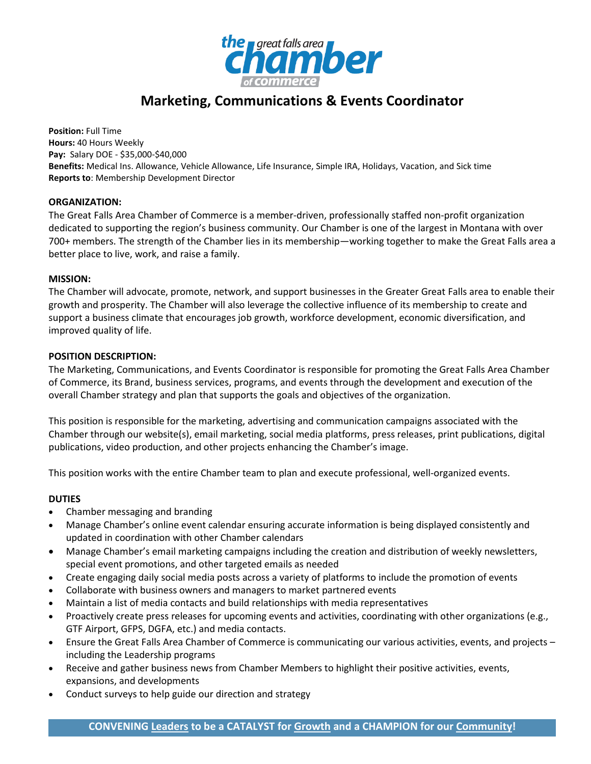

# **Marketing, Communications & Events Coordinator**

**Position:** Full Time **Hours:** 40 Hours Weekly **Pay:** Salary DOE - \$35,000-\$40,000 **Benefits:** Medical Ins. Allowance, Vehicle Allowance, Life Insurance, Simple IRA, Holidays, Vacation, and Sick time **Reports to**: Membership Development Director

# **ORGANIZATION:**

The Great Falls Area Chamber of Commerce is a member-driven, professionally staffed non-profit organization dedicated to supporting the region's business community. Our Chamber is one of the largest in Montana with over 700+ members. The strength of the Chamber lies in its membership—working together to make the Great Falls area a better place to live, work, and raise a family.

# **MISSION:**

The Chamber will advocate, promote, network, and support businesses in the Greater Great Falls area to enable their growth and prosperity. The Chamber will also leverage the collective influence of its membership to create and support a business climate that encourages job growth, workforce development, economic diversification, and improved quality of life.

# **POSITION DESCRIPTION:**

The Marketing, Communications, and Events Coordinator is responsible for promoting the Great Falls Area Chamber of Commerce, its Brand, business services, programs, and events through the development and execution of the overall Chamber strategy and plan that supports the goals and objectives of the organization.

This position is responsible for the marketing, advertising and communication campaigns associated with the Chamber through our website(s), email marketing, social media platforms, press releases, print publications, digital publications, video production, and other projects enhancing the Chamber's image.

This position works with the entire Chamber team to plan and execute professional, well-organized events.

# **DUTIES**

- Chamber messaging and branding
- Manage Chamber's online event calendar ensuring accurate information is being displayed consistently and updated in coordination with other Chamber calendars
- Manage Chamber's email marketing campaigns including the creation and distribution of weekly newsletters, special event promotions, and other targeted emails as needed
- Create engaging daily social media posts across a variety of platforms to include the promotion of events
- Collaborate with business owners and managers to market partnered events
- Maintain a list of media contacts and build relationships with media representatives
- Proactively create press releases for upcoming events and activities, coordinating with other organizations (e.g., GTF Airport, GFPS, DGFA, etc.) and media contacts.
- Ensure the Great Falls Area Chamber of Commerce is communicating our various activities, events, and projects including the Leadership programs
- Receive and gather business news from Chamber Members to highlight their positive activities, events, expansions, and developments
- Conduct surveys to help guide our direction and strategy